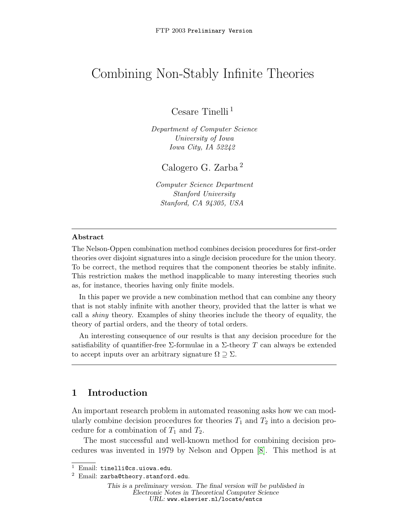# Combining Non-Stably Infinite Theories

Cesare Tinelli <sup>1</sup>

Department of Computer Science University of Iowa Iowa City, IA 52242

Calogero G. Zarba <sup>2</sup>

Computer Science Department Stanford University Stanford, CA 94305, USA

#### Abstract

The Nelson-Oppen combination method combines decision procedures for first-order theories over disjoint signatures into a single decision procedure for the union theory. To be correct, the method requires that the component theories be stably infinite. This restriction makes the method inapplicable to many interesting theories such as, for instance, theories having only finite models.

In this paper we provide a new combination method that can combine any theory that is not stably infinite with another theory, provided that the latter is what we call a shiny theory. Examples of shiny theories include the theory of equality, the theory of partial orders, and the theory of total orders.

An interesting consequence of our results is that any decision procedure for the satisfiability of quantifier-free  $\Sigma$ -formulae in a  $\Sigma$ -theory T can always be extended to accept inputs over an arbitrary signature  $\Omega \supseteq \Sigma$ .

## 1 Introduction

An important research problem in automated reasoning asks how we can modularly combine decision procedures for theories  $T_1$  and  $T_2$  into a decision procedure for a combination of  $T_1$  and  $T_2$ .

The most successful and well-known method for combining decision procedures was invented in 1979 by Nelson and Oppen [\[8\]](#page-12-0). This method is at

<sup>1</sup> Email: tinelli@cs.uiowa.edu.

<sup>2</sup> Email: zarba@theory.stanford.edu.

This is a preliminary version. The final version will be published in Electronic Notes in Theoretical Computer Science URL: www.elsevier.nl/locate/entcs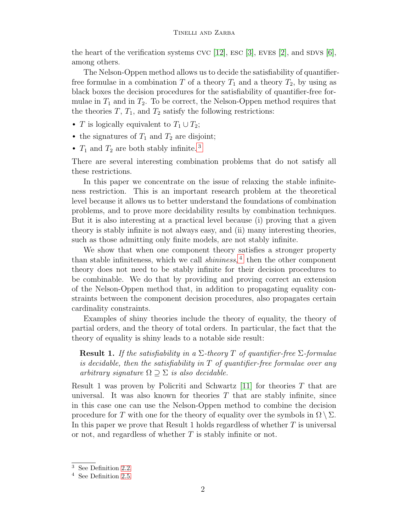the heart of the verification systems CVC [\[12\]](#page-13-0), ESC [\[3\]](#page-12-1), EVES [\[2\]](#page-12-2), and SDVS [\[6\]](#page-12-3), among others.

The Nelson-Oppen method allows us to decide the satisfiability of quantifierfree formulae in a combination T of a theory  $T_1$  and a theory  $T_2$ , by using as black boxes the decision procedures for the satisfiability of quantifier-free formulae in  $T_1$  and in  $T_2$ . To be correct, the Nelson-Oppen method requires that the theories  $T$ ,  $T_1$ , and  $T_2$  satisfy the following restrictions:

- T is logically equivalent to  $T_1 \cup T_2$ ;
- the signatures of  $T_1$  and  $T_2$  are disjoint;
- $T_1$  and  $T_2$  are both stably infinite.<sup>[3](#page-1-0)</sup>

There are several interesting combination problems that do not satisfy all these restrictions.

In this paper we concentrate on the issue of relaxing the stable infiniteness restriction. This is an important research problem at the theoretical level because it allows us to better understand the foundations of combination problems, and to prove more decidability results by combination techniques. But it is also interesting at a practical level because (i) proving that a given theory is stably infinite is not always easy, and (ii) many interesting theories, such as those admitting only finite models, are not stably infinite.

We show that when one component theory satisfies a stronger property than stable infiniteness, which we call *shininess*,<sup>[4](#page-1-1)</sup> then the other component theory does not need to be stably infinite for their decision procedures to be combinable. We do that by providing and proving correct an extension of the Nelson-Oppen method that, in addition to propagating equality constraints between the component decision procedures, also propagates certain cardinality constraints.

Examples of shiny theories include the theory of equality, the theory of partial orders, and the theory of total orders. In particular, the fact that the theory of equality is shiny leads to a notable side result:

**Result 1.** If the satisfiability in a  $\Sigma$ -theory T of quantifier-free  $\Sigma$ -formulae is decidable, then the satisfiability in  $T$  of quantifier-free formulae over any arbitrary signature  $\Omega \supset \Sigma$  is also decidable.

Result 1 was proven by Policriti and Schwartz  $[11]$  for theories T that are universal. It was also known for theories  $T$  that are stably infinite, since in this case one can use the Nelson-Oppen method to combine the decision procedure for T with one for the theory of equality over the symbols in  $\Omega \setminus \Sigma$ . In this paper we prove that Result 1 holds regardless of whether  $T$  is universal or not, and regardless of whether  $T$  is stably infinite or not.

<span id="page-1-0"></span><sup>3</sup> See Definition [2.2.](#page-3-0)

<span id="page-1-1"></span><sup>4</sup> See Definition [2.5.](#page-4-0)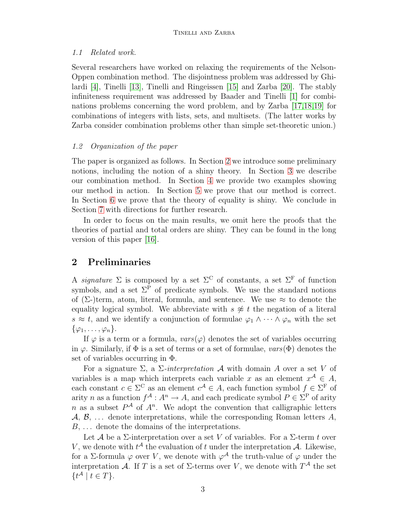#### 1.1 Related work.

Several researchers have worked on relaxing the requirements of the Nelson-Oppen combination method. The disjointness problem was addressed by Ghilardi [\[4\]](#page-12-4), Tinelli [\[13\]](#page-13-2), Tinelli and Ringeissen [\[15\]](#page-13-3) and Zarba [\[20\]](#page-13-4). The stably infiniteness requirement was addressed by Baader and Tinelli [\[1\]](#page-12-5) for combinations problems concerning the word problem, and by Zarba [\[17,](#page-13-5)[18,](#page-13-6)[19\]](#page-13-7) for combinations of integers with lists, sets, and multisets. (The latter works by Zarba consider combination problems other than simple set-theoretic union.)

#### 1.2 Organization of the paper

The paper is organized as follows. In Section [2](#page-2-0) we introduce some preliminary notions, including the notion of a shiny theory. In Section [3](#page-4-1) we describe our combination method. In Section [4](#page-5-0) we provide two examples showing our method in action. In Section [5](#page-7-0) we prove that our method is correct. In Section [6](#page-8-0) we prove that the theory of equality is shiny. We conclude in Section [7](#page-11-0) with directions for further research.

In order to focus on the main results, we omit here the proofs that the theories of partial and total orders are shiny. They can be found in the long version of this paper [\[16\]](#page-13-8).

## <span id="page-2-0"></span>2 Preliminaries

A *signature*  $\Sigma$  is composed by a set  $\Sigma^C$  of constants, a set  $\Sigma^F$  of function symbols, and a set  $\Sigma^{\bar{P}}$  of predicate symbols. We use the standard notions of  $(\Sigma$ -)term, atom, literal, formula, and sentence. We use  $\approx$  to denote the equality logical symbol. We abbreviate with  $s \not\approx t$  the negation of a literal  $s \approx t$ , and we identify a conjunction of formulae  $\varphi_1 \wedge \cdots \wedge \varphi_n$  with the set  $\{\varphi_1,\ldots,\varphi_n\}.$ 

If  $\varphi$  is a term or a formula,  $vars(\varphi)$  denotes the set of variables occurring in  $\varphi$ . Similarly, if  $\Phi$  is a set of terms or a set of formulae,  $vars(\Phi)$  denotes the set of variables occurring in Φ.

For a signature  $\Sigma$ , a  $\Sigma$ -interpretation A with domain A over a set V of variables is a map which interprets each variable x as an element  $x^{\mathcal{A}} \in A$ , each constant  $c \in \Sigma^C$  as an element  $c^{\mathcal{A}} \in A$ , each function symbol  $f \in \Sigma^F$  of arity n as a function  $f^{\mathcal{A}}: A^n \to A$ , and each predicate symbol  $P \in \Sigma^{\mathcal{P}}$  of arity n as a subset  $P^{\mathcal{A}}$  of  $A^n$ . We adopt the convention that calligraphic letters  $\mathcal{A}, \mathcal{B}, \ldots$  denote interpretations, while the corresponding Roman letters  $A$ ,  $B, \ldots$  denote the domains of the interpretations.

Let A be a  $\Sigma$ -interpretation over a set V of variables. For a  $\Sigma$ -term t over V, we denote with  $t^{\mathcal{A}}$  the evaluation of t under the interpretation  $\mathcal{A}$ . Likewise, for a  $\Sigma$ -formula  $\varphi$  over V, we denote with  $\varphi^{\mathcal{A}}$  the truth-value of  $\varphi$  under the interpretation A. If T is a set of  $\Sigma$ -terms over V, we denote with  $T^{\mathcal{A}}$  the set  $\{t^{\mathcal{A}}\mid t\in T\}.$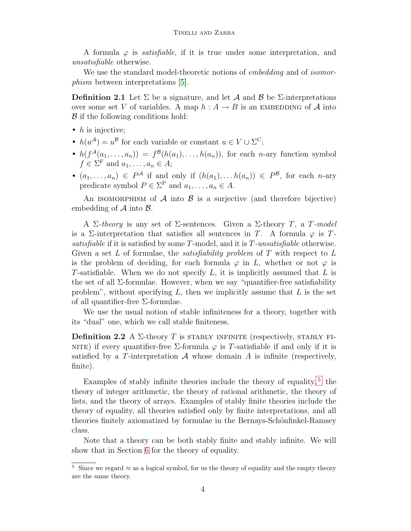A formula  $\varphi$  is *satisfiable*, if it is true under some interpretation, and unsatisfiable otherwise.

We use the standard model-theoretic notions of *embedding* and of *isomor*phism between interpretations [\[5\]](#page-12-6).

**Definition 2.1** Let  $\Sigma$  be a signature, and let A and B be  $\Sigma$ -interpretations over some set V of variables. A map  $h : A \to B$  is an EMBEDDING of A into B if the following conditions hold:

- $h$  is injective;
- $h(u^{\mathcal{A}}) = u^{\mathcal{B}}$  for each variable or constant  $u \in V \cup \Sigma^{C}$ ;
- $h(f^{\mathcal{A}}(a_1,\ldots,a_n)) = f^{\mathcal{B}}(h(a_1),\ldots,h(a_n)),$  for each *n*-ary function symbol  $f \in \Sigma^{\mathrm{F}}$  and  $a_1, \ldots, a_n \in A;$
- $(a_1, \ldots, a_n) \in P^{\mathcal{A}}$  if and only if  $(h(a_1), \ldots, h(a_n)) \in P^{\mathcal{B}}$ , for each *n*-ary predicate symbol  $P \in \Sigma^{\mathcal{P}}$  and  $a_1, \ldots, a_n \in A$ .

An ISOMORPHISM of  $A$  into  $B$  is a surjective (and therefore bijective) embedding of  $A$  into  $B$ .

A Σ-theory is any set of Σ-sentences. Given a Σ-theory T, a T-model is a  $\Sigma$ -interpretation that satisfies all sentences in T. A formula  $\varphi$  is T. satisfiable if it is satisfied by some T-model, and it is T-unsatisfiable otherwise. Given a set L of formulae, the *satisfiability problem* of T with respect to L is the problem of deciding, for each formula  $\varphi$  in L, whether or not  $\varphi$  is T-satisfiable. When we do not specify  $L$ , it is implicitly assumed that  $L$  is the set of all Σ-formulae. However, when we say "quantifier-free satisfiability problem", without specifying  $L$ , then we implicitly assume that  $L$  is the set of all quantifier-free Σ-formulae.

We use the usual notion of stable infiniteness for a theory, together with its "dual" one, which we call stable finiteness.

<span id="page-3-0"></span>**Definition 2.2** A  $\Sigma$ -theory T is STABLY INFINITE (respectively, STABLY FI-NITE) if every quantifier-free Σ-formula  $\varphi$  is T-satisfiable if and only if it is satisfied by a T-interpretation  $A$  whose domain  $A$  is infinite (respectively, finite).

Examples of stably infinite theories include the theory of equality,  $5$  the theory of integer arithmetic, the theory of rational arithmetic, the theory of lists, and the theory of arrays. Examples of stably finite theories include the theory of equality, all theories satisfied only by finite interpretations, and all theories finitely axiomatized by formulae in the Bernays-Schönfinkel-Ramsey class.

Note that a theory can be both stably finite and stably infinite. We will show that in Section [6](#page-8-0) for the theory of equality.

<span id="page-3-2"></span><span id="page-3-1"></span><sup>&</sup>lt;sup>5</sup> Since we regard  $\approx$  as a logical symbol, for us the theory of equality and the empty theory are the same theory.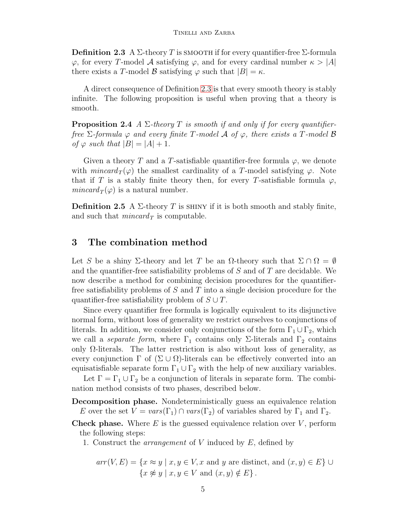**Definition 2.3** A Σ-theory T is smooth if for every quantifier-free Σ-formula  $\varphi$ , for every T-model A satisfying  $\varphi$ , and for every cardinal number  $\kappa > |A|$ there exists a T-model B satisfying  $\varphi$  such that  $|B| = \kappa$ .

A direct consequence of Definition [2.3](#page-3-2) is that every smooth theory is stably infinite. The following proposition is useful when proving that a theory is smooth.

<span id="page-4-2"></span>**Proposition 2.4** A  $\Sigma$ -theory T is smooth if and only if for every quantifierfree  $\Sigma$ -formula  $\varphi$  and every finite T-model  $\mathcal A$  of  $\varphi$ , there exists a T-model  $\mathcal B$ of  $\varphi$  such that  $|B| = |A| + 1$ .

Given a theory T and a T-satisfiable quantifier-free formula  $\varphi$ , we denote with mincard  $T(\varphi)$  the smallest cardinality of a T-model satisfying  $\varphi$ . Note that if T is a stably finite theory then, for every T-satisfiable formula  $\varphi$ ,  $mincard_T(\varphi)$  is a natural number.

<span id="page-4-0"></span>**Definition 2.5** A  $\Sigma$ -theory T is SHINY if it is both smooth and stably finite, and such that  $mincard_T$  is computable.

## <span id="page-4-1"></span>3 The combination method

Let S be a shiny  $\Sigma$ -theory and let T be an  $\Omega$ -theory such that  $\Sigma \cap \Omega = \emptyset$ and the quantifier-free satisfiability problems of S and of T are decidable. We now describe a method for combining decision procedures for the quantifierfree satisfiability problems of  $S$  and  $T$  into a single decision procedure for the quantifier-free satisfiability problem of  $S \cup T$ .

Since every quantifier free formula is logically equivalent to its disjunctive normal form, without loss of generality we restrict ourselves to conjunctions of literals. In addition, we consider only conjunctions of the form  $\Gamma_1 \cup \Gamma_2$ , which we call a *separate form*, where  $\Gamma_1$  contains only Σ-literals and  $\Gamma_2$  contains only  $\Omega$ -literals. The latter restriction is also without loss of generality, as every conjunction  $\Gamma$  of  $(\Sigma \cup \Omega)$ -literals can be effectively converted into an equisatisfiable separate form  $\Gamma_1 \cup \Gamma_2$  with the help of new auxiliary variables.

Let  $\Gamma = \Gamma_1 \cup \Gamma_2$  be a conjunction of literals in separate form. The combination method consists of two phases, described below.

- Decomposition phase. Nondeterministically guess an equivalence relation E over the set  $V = vars(\Gamma_1) \cap vars(\Gamma_2)$  of variables shared by  $\Gamma_1$  and  $\Gamma_2$ .
- **Check phase.** Where  $E$  is the guessed equivalence relation over  $V$ , perform the following steps:
	- 1. Construct the *arrangement* of  $V$  induced by  $E$ , defined by

$$
arr(V, E) = \{ x \approx y \mid x, y \in V, x \text{ and } y \text{ are distinct, and } (x, y) \in E \} \cup
$$
  

$$
\{ x \not\approx y \mid x, y \in V \text{ and } (x, y) \notin E \}.
$$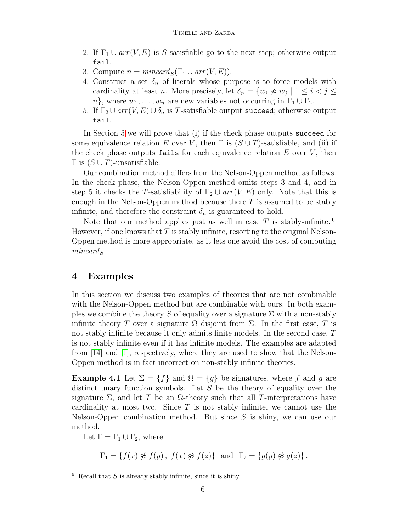- 2. If  $\Gamma_1 \cup arr(V, E)$  is S-satisfiable go to the next step; otherwise output fail.
- 3. Compute  $n = mincard_S(\Gamma_1 \cup arr(V, E)).$
- 4. Construct a set  $\delta_n$  of literals whose purpose is to force models with cardinality at least *n*. More precisely, let  $\delta_n = \{w_i \not\approx w_j \mid 1 \leq i < j \leq n\}$  $n\}$ , where  $w_1, \ldots, w_n$  are new variables not occurring in  $\Gamma_1 \cup \Gamma_2$ .
- 5. If  $\Gamma_2 \cup arr(V, E) \cup \delta_n$  is T-satisfiable output succeed; otherwise output fail.

In Section [5](#page-7-0) we will prove that (i) if the check phase outputs succeed for some equivalence relation E over V, then  $\Gamma$  is  $(S \cup T)$ -satisfiable, and (ii) if the check phase outputs fails for each equivalence relation  $E$  over  $V$ , then  $Γ$  is  $(S ∪ T)$ -unsatisfiable.

Our combination method differs from the Nelson-Oppen method as follows. In the check phase, the Nelson-Oppen method omits steps 3 and 4, and in step 5 it checks the T-satisfiability of  $\Gamma_2 \cup arr(V, E)$  only. Note that this is enough in the Nelson-Oppen method because there  $T$  is assumed to be stably infinite, and therefore the constraint  $\delta_n$  is guaranteed to hold.

Note that our method applies just as well in case  $T$  is stably-infinite.  $6$ However, if one knows that  $T$  is stably infinite, resorting to the original Nelson-Oppen method is more appropriate, as it lets one avoid the cost of computing  $mincard_S$ .

## <span id="page-5-0"></span>4 Examples

In this section we discuss two examples of theories that are not combinable with the Nelson-Oppen method but are combinable with ours. In both examples we combine the theory S of equality over a signature  $\Sigma$  with a non-stably infinite theory T over a signature  $\Omega$  disjoint from  $\Sigma$ . In the first case, T is not stably infinite because it only admits finite models. In the second case, T is not stably infinite even if it has infinite models. The examples are adapted from [\[14\]](#page-13-9) and [\[1\]](#page-12-5), respectively, where they are used to show that the Nelson-Oppen method is in fact incorrect on non-stably infinite theories.

**Example 4.1** Let  $\Sigma = \{f\}$  and  $\Omega = \{g\}$  be signatures, where f and g are distinct unary function symbols. Let  $S$  be the theory of equality over the signature  $\Sigma$ , and let T be an  $\Omega$ -theory such that all T-interpretations have cardinality at most two. Since  $T$  is not stably infinite, we cannot use the Nelson-Oppen combination method. But since  $S$  is shiny, we can use our method.

Let  $\Gamma = \Gamma_1 \cup \Gamma_2$ , where

 $\Gamma_1 = \{f(x) \not\approx f(y), f(x) \not\approx f(z)\}\$ and  $\Gamma_2 = \{g(y) \not\approx g(z)\}.$ 

<span id="page-5-1"></span> $6$  Recall that S is already stably infinite, since it is shiny.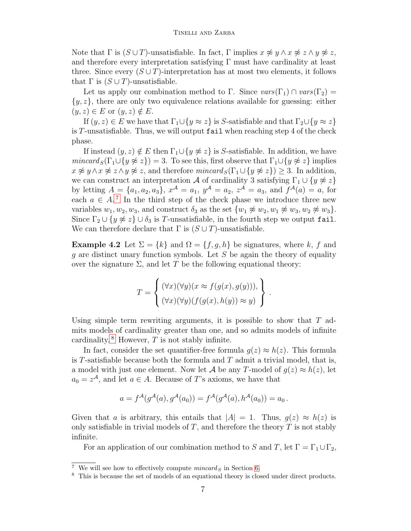Note that  $\Gamma$  is  $(S \cup T)$ -unsatisfiable. In fact,  $\Gamma$  implies  $x \not\approx y \land x \not\approx z \land y \not\approx z$ , and therefore every interpretation satisfying  $\Gamma$  must have cardinality at least three. Since every  $(S \cup T)$ -interpretation has at most two elements, it follows that  $\Gamma$  is  $(S \cup T)$ -unsatisfiable.

Let us apply our combination method to Γ. Since  $vars(\Gamma_1) \cap vars(\Gamma_2)$  =  $\{y, z\}$ , there are only two equivalence relations available for guessing: either  $(y, z) \in E$  or  $(y, z) \notin E$ .

If  $(y, z) \in E$  we have that  $\Gamma_1 \cup \{y \approx z\}$  is S-satisfiable and that  $\Gamma_2 \cup \{y \approx z\}$ is T-unsatisfiable. Thus, we will output fail when reaching step 4 of the check phase.

If instead  $(y, z) \notin E$  then  $\Gamma_1 \cup \{y \not\approx z\}$  is S-satisfiable. In addition, we have  $mincard_S(\Gamma_1 \cup \{y \not\approx z\}) = 3.$  To see this, first observe that  $\Gamma_1 \cup \{y \not\approx z\}$  implies  $x \not\approx y \land x \not\approx z \land y \not\approx z$ , and therefore  $mincard_S(\Gamma_1 \cup \{y \not\approx z\}) \geq 3$ . In addition, we can construct an interpretation A of cardinality 3 satisfying  $\Gamma_1 \cup \{y \not\approx z\}$ by letting  $A = \{a_1, a_2, a_3\}, x^{\mathcal{A}} = a_1, y^{\mathcal{A}} = a_2, z^{\mathcal{A}} = a_3$ , and  $f^{\mathcal{A}}(a) = a$ , for each  $a \in A$ .<sup>[7](#page-6-0)</sup> In the third step of the check phase we introduce three new variables  $w_1, w_2, w_3$ , and construct  $\delta_3$  as the set  $\{w_1 \not\approx w_2, w_1 \not\approx w_3, w_2 \not\approx w_3\}.$ Since  $\Gamma_2 \cup \{y \not\approx z\} \cup \delta_3$  is T-unsatisfiable, in the fourth step we output fail. We can therefore declare that  $\Gamma$  is  $(S \cup T)$ -unsatisfiable.

**Example 4.2** Let  $\Sigma = \{k\}$  and  $\Omega = \{f, g, h\}$  be signatures, where k, f and q are distinct unary function symbols. Let  $S$  be again the theory of equality over the signature  $\Sigma$ , and let T be the following equational theory:

$$
T = \left\{ \begin{aligned} (\forall x)(\forall y)(x \approx f(g(x), g(y))), \\ (\forall x)(\forall y)(f(g(x), h(y)) \approx y) \end{aligned} \right\}
$$

.

Using simple term rewriting arguments, it is possible to show that  $T$  admits models of cardinality greater than one, and so admits models of infinite cardinality.<sup>[8](#page-6-1)</sup> However,  $T$  is not stably infinite.

In fact, consider the set quantifier-free formula  $g(z) \approx h(z)$ . This formula is T-satisfiable because both the formula and  $T$  admit a trivial model, that is, a model with just one element. Now let A be any T-model of  $g(z) \approx h(z)$ , let  $a_0 = z^{\mathcal{A}}$ , and let  $a \in A$ . Because of T's axioms, we have that

$$
a = f^{\mathcal{A}}(g^{\mathcal{A}}(a), g^{\mathcal{A}}(a_0)) = f^{\mathcal{A}}(g^{\mathcal{A}}(a), h^{\mathcal{A}}(a_0)) = a_0.
$$

Given that a is arbitrary, this entails that  $|A| = 1$ . Thus,  $q(z) \approx h(z)$  is only satisfiable in trivial models of  $T$ , and therefore the theory  $T$  is not stably infinite.

For an application of our combination method to S and T, let  $\Gamma = \Gamma_1 \cup \Gamma_2$ ,

<span id="page-6-0"></span><sup>&</sup>lt;sup>7</sup> We will see how to effectively compute  $mincard_S$  in Section [6.](#page-8-0)

<span id="page-6-1"></span><sup>8</sup> This is because the set of models of an equational theory is closed under direct products.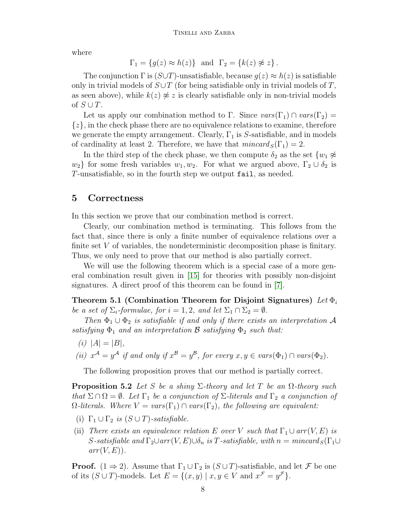where

$$
\Gamma_1 = \{g(z) \approx h(z)\}\
$$
and  $\Gamma_2 = \{k(z) \not\approx z\}.$ 

The conjunction  $\Gamma$  is  $(S \cup T)$ -unsatisfiable, because  $g(z) \approx h(z)$  is satisfiable only in trivial models of  $S\cup T$  (for being satisfiable only in trivial models of T, as seen above), while  $k(z) \not\approx z$  is clearly satisfiable only in non-trivial models of  $S \cup T$ .

Let us apply our combination method to Γ. Since  $vars(\Gamma_1) \cap vars(\Gamma_2)$  =  $\{z\}$ , in the check phase there are no equivalence relations to examine, therefore we generate the empty arrangement. Clearly,  $\Gamma_1$  is S-satisfiable, and in models of cardinality at least 2. Therefore, we have that  $mincard_S(\Gamma_1) = 2$ .

In the third step of the check phase, we then compute  $\delta_2$  as the set  $\{w_1 \not\approx\}$  $w_2$ } for some fresh variables  $w_1, w_2$ . For what we argued above,  $\Gamma_2 \cup \delta_2$  is T-unsatisfiable, so in the fourth step we output fail, as needed.

#### <span id="page-7-0"></span>5 Correctness

In this section we prove that our combination method is correct.

Clearly, our combination method is terminating. This follows from the fact that, since there is only a finite number of equivalence relations over a finite set V of variables, the nondeterministic decomposition phase is finitary. Thus, we only need to prove that our method is also partially correct.

We will use the following theorem which is a special case of a more general combination result given in [\[15\]](#page-13-3) for theories with possibly non-disjoint signatures. A direct proof of this theorem can be found in [\[7\]](#page-12-7).

<span id="page-7-1"></span>Theorem 5.1 (Combination Theorem for Disjoint Signatures) Let  $\Phi_i$ be a set of  $\Sigma_i$ -formulae, for  $i = 1, 2$ , and let  $\Sigma_1 \cap \Sigma_2 = \emptyset$ .

Then  $\Phi_1 \cup \Phi_2$  is satisfiable if and only if there exists an interpretation A satisfying  $\Phi_1$  and an interpretation **B** satisfying  $\Phi_2$  such that:

(*i*)  $|A| = |B|$ ,

(ii)  $x^{\mathcal{A}} = y^{\mathcal{A}}$  if and only if  $x^{\mathcal{B}} = y^{\mathcal{B}}$ , for every  $x, y \in vars(\Phi_1) \cap vars(\Phi_2)$ .

The following proposition proves that our method is partially correct.

<span id="page-7-2"></span>**Proposition 5.2** Let S be a shiny  $\Sigma$ -theory and let T be an  $\Omega$ -theory such that  $\Sigma \cap \Omega = \emptyset$ . Let  $\Gamma_1$  be a conjunction of  $\Sigma$ -literals and  $\Gamma_2$  a conjunction of  $\Omega$ -literals. Where  $V = vars(\Gamma_1) \cap vars(\Gamma_2)$ , the following are equivalent:

- (i)  $\Gamma_1 \cup \Gamma_2$  is  $(S \cup T)$ -satisfiable.
- (ii) There exists an equivalence relation E over V such that  $\Gamma_1 \cup arr(V, E)$  is S-satisfiable and  $\Gamma_2 \cup arr(V, E) \cup \delta_n$  is T-satisfiable, with  $n = mincard_S(\Gamma_1 \cup$  $arr(V, E)$ .

**Proof.**  $(1 \Rightarrow 2)$ . Assume that  $\Gamma_1 \cup \Gamma_2$  is  $(S \cup T)$ -satisfiable, and let F be one of its  $(S \cup T)$ -models. Let  $E = \{(x, y) \mid x, y \in V \text{ and } x^{\mathcal{F}} = y^{\mathcal{F}}\}.$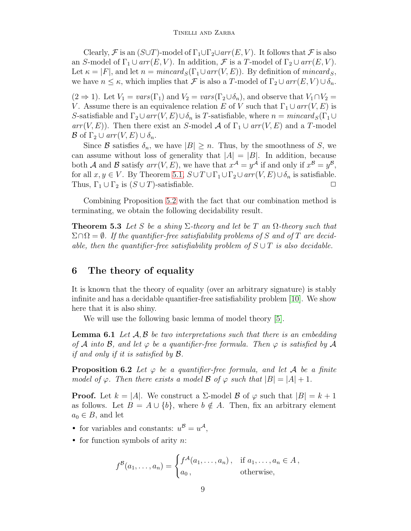Clearly, F is an  $(S \cup T)$ -model of  $\Gamma_1 \cup \Gamma_2 \cup arr(E, V)$ . It follows that F is also an S-model of  $\Gamma_1 \cup arr(E, V)$ . In addition, F is a T-model of  $\Gamma_2 \cup arr(E, V)$ . Let  $\kappa = |F|$ , and let  $n = mincard_S(\Gamma_1 \cup arr(V, E))$ . By definition of mincards, we have  $n \leq \kappa$ , which implies that F is also a T-model of  $\Gamma_2 \cup arr(E, V) \cup \delta_n$ .

 $(2 \Rightarrow 1)$ . Let  $V_1 = vars(\Gamma_1)$  and  $V_2 = vars(\Gamma_2 \cup \delta_n)$ , and observe that  $V_1 \cap V_2 =$ V. Assume there is an equivalence relation E of V such that  $\Gamma_1 \cup arr(V, E)$  is S-satisfiable and  $\Gamma_2 \cup arr(V, E) \cup \delta_n$  is T-satisfiable, where  $n = mincard_S(\Gamma_1 \cup$  $arr(V, E)$ . Then there exist an S-model A of  $\Gamma_1 \cup arr(V, E)$  and a T-model  $\mathcal B$  of  $\Gamma_2 \cup arr(V, E) \cup \delta_n$ .

Since B satisfies  $\delta_n$ , we have  $|B| \geq n$ . Thus, by the smoothness of S, we can assume without loss of generality that  $|A| = |B|$ . In addition, because both A and B satisfy  $arr(V, E)$ , we have that  $x^{\mathcal{A}} = y^{\mathcal{A}}$  if and only if  $x^{\mathcal{B}} = y^{\mathcal{B}}$ , for all  $x, y \in V$ . By Theorem [5.1,](#page-7-1)  $S \cup T \cup \Gamma_1 \cup \Gamma_2 \cup arr(V, E) \cup \delta_n$  is satisfiable. Thus,  $\Gamma_1 \cup \Gamma_2$  is  $(S \cup T)$ -satisfiable.  $\Box$ 

Combining Proposition [5.2](#page-7-2) with the fact that our combination method is terminating, we obtain the following decidability result.

**Theorem 5.3** Let S be a shing  $\Sigma$ -theory and let be T an  $\Omega$ -theory such that  $\Sigma \cap \Omega = \emptyset$ . If the quantifier-free satisfiability problems of S and of T are decidable, then the quantifier-free satisfiability problem of  $S \cup T$  is also decidable.

## <span id="page-8-0"></span>6 The theory of equality

It is known that the theory of equality (over an arbitrary signature) is stably infinite and has a decidable quantifier-free satisfiability problem [\[10\]](#page-13-10). We show here that it is also shiny.

We will use the following basic lemma of model theory [\[5\]](#page-12-6).

<span id="page-8-1"></span>**Lemma 6.1** Let  $A, B$  be two interpretations such that there is an embedding of A into B, and let  $\varphi$  be a quantifier-free formula. Then  $\varphi$  is satisfied by A *if and only if it is satisfied by*  $\mathcal{B}$ *.* 

<span id="page-8-2"></span>**Proposition 6.2** Let  $\varphi$  be a quantifier-free formula, and let A be a finite model of  $\varphi$ . Then there exists a model  $\mathcal{B}$  of  $\varphi$  such that  $|B| = |A| + 1$ .

**Proof.** Let  $k = |A|$ . We construct a  $\Sigma$ -model  $\beta$  of  $\varphi$  such that  $|B| = k + 1$ as follows. Let  $B = A \cup \{b\}$ , where  $b \notin A$ . Then, fix an arbitrary element  $a_0 \in B$ , and let

• for variables and constants:  $u^B = u^A$ ,

• for function symbols of arity  $n$ :

$$
f^{B}(a_1,\ldots,a_n) = \begin{cases} f^{A}(a_1,\ldots,a_n), & \text{if } a_1,\ldots,a_n \in A, \\ a_0, & \text{otherwise,} \end{cases}
$$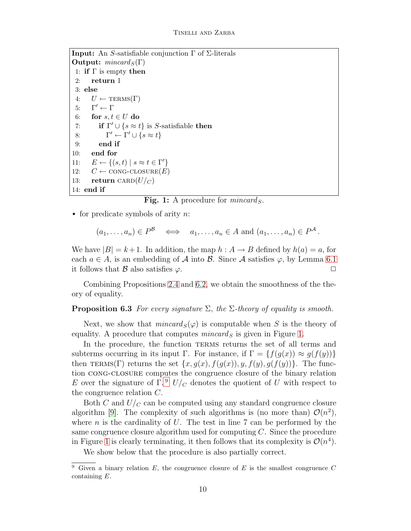```
Input: An S-satisfiable conjunction Γ of Σ-literals
Output: mincard_S(\Gamma)1: if \Gamma is empty then
 2: return 1
 3: else
 4: U \leftarrow \text{TERMS}(\Gamma)5: Γ
       \Gamma'\leftarrow \Gamma6: for s, t \in U do
 7: if \Gamma' \cup \{s \approx t\} is S-satisfiable then
 8: \Gamma' \leftarrow \Gamma' \cup \{ s \approx t \}9: end if
10: end for
11: E \leftarrow \{(s, t) \mid s \approx t \in \Gamma'\}12: C \leftarrow \text{CONG-CLOSURE}(E)13: return CARD(U/C)14: end if
```
Fig. 1: A procedure for  $mincard_S$ .

<span id="page-9-0"></span>• for predicate symbols of arity  $n$ :

$$
(a_1, \ldots, a_n) \in P^{\mathcal{B}} \iff a_1, \ldots, a_n \in A \text{ and } (a_1, \ldots, a_n) \in P^{\mathcal{A}}.
$$

We have  $|B| = k+1$ . In addition, the map  $h : A \to B$  defined by  $h(a) = a$ , for each  $a \in A$ , is an embedding of A into B. Since A satisfies  $\varphi$ , by Lemma [6.1](#page-8-1) it follows that B also satisfies  $\varphi$ .

Combining Propositions [2.4](#page-4-2) and [6.2,](#page-8-2) we obtain the smoothness of the theory of equality.

#### **Proposition 6.3** For every signature  $\Sigma$ , the  $\Sigma$ -theory of equality is smooth.

Next, we show that  $mincard_S(\varphi)$  is computable when S is the theory of equality. A procedure that computes  $mincard_S$  is given in Figure [1.](#page-9-0)

In the procedure, the function TERMS returns the set of all terms and subterms occurring in its input Γ. For instance, if  $\Gamma = \{f(g(x)) \approx g(f(y))\}$ then TERMS(Γ) returns the set  $\{x, g(x), f(g(x)), y, f(y), g(f(y))\}$ . The function cong-closure computes the congruence closure of the binary relation E over the signature of  $\Gamma$ .<sup>[9](#page-9-1)</sup>  $U/c$  denotes the quotient of U with respect to the congruence relation C.

Both C and  $U/c$  can be computed using any standard congruence closure algorithm [\[9\]](#page-13-11). The complexity of such algorithms is (no more than)  $\mathcal{O}(n^2)$ , where n is the cardinality of  $U$ . The test in line 7 can be performed by the same congruence closure algorithm used for computing C. Since the procedure in Figure [1](#page-9-0) is clearly terminating, it then follows that its complexity is  $\mathcal{O}(n^4)$ .

We show below that the procedure is also partially correct.

<span id="page-9-2"></span><span id="page-9-1"></span><sup>&</sup>lt;sup>9</sup> Given a binary relation  $E$ , the congruence closure of  $E$  is the smallest congruence  $C$ containing E.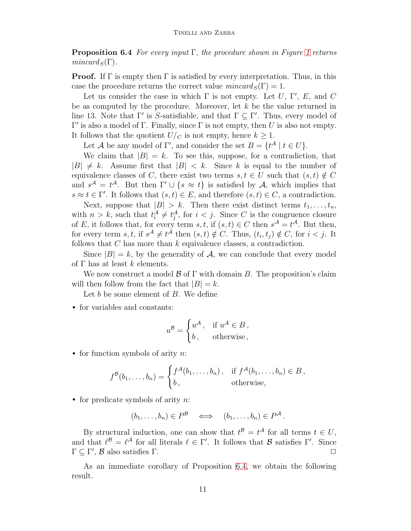**Proposition 6.4** For every input  $\Gamma$ , the procedure shown in Figure [1](#page-9-0) returns  $mincard_S(\Gamma)$ .

**Proof.** If  $\Gamma$  is empty then  $\Gamma$  is satisfied by every interpretation. Thus, in this case the procedure returns the correct value  $mincard_S(\Gamma) = 1$ .

Let us consider the case in which  $\Gamma$  is not empty. Let U,  $\Gamma'$ , E, and C be as computed by the procedure. Moreover, let  $k$  be the value returned in line 13. Note that  $\Gamma'$  is S-satisfiable, and that  $\Gamma \subseteq \Gamma'$ . Thus, every model of  $Γ'$  is also a model of Γ. Finally, since Γ is not empty, then U is also not empty. It follows that the quotient  $U/c$  is not empty, hence  $k \geq 1$ .

Let A be any model of  $\Gamma'$ , and consider the set  $B = \{t^A | t \in U\}.$ 

We claim that  $|B| = k$ . To see this, suppose, for a contradiction, that  $|B| \neq k$ . Assume first that  $|B| < k$ . Since k is equal to the number of equivalence classes of C, there exist two terms  $s, t \in U$  such that  $(s, t) \notin C$ and  $s^{\mathcal{A}} = t^{\mathcal{A}}$ . But then  $\Gamma' \cup \{s \approx t\}$  is satisfied by A, which implies that  $s \approx t \in \Gamma'$ . It follows that  $(s, t) \in E$ , and therefore  $(s, t) \in C$ , a contradiction.

Next, suppose that  $|B| > k$ . Then there exist distinct terms  $t_1, \ldots, t_n$ , with  $n > k$ , such that  $t_i^{\mathcal{A}} \neq t_j^{\mathcal{A}}$ , for  $i < j$ . Since C is the congruence closure of E, it follows that, for every term  $s, t$ , if  $(s, t) \in C$  then  $s^{\mathcal{A}} = t^{\mathcal{A}}$ . But then, for every term  $s, t$ , if  $s^{\mathcal{A}} \neq t^{\mathcal{A}}$  then  $(s, t) \notin C$ . Thus,  $(t_i, t_j) \notin C$ , for  $i < j$ . It follows that  $C$  has more than  $k$  equivalence classes, a contradiction.

Since  $|B| = k$ , by the generality of A, we can conclude that every model of  $\Gamma$  has at least k elements.

We now construct a model  $\beta$  of  $\Gamma$  with domain B. The proposition's claim will then follow from the fact that  $|B| = k$ .

Let  $b$  be some element of  $B$ . We define

• for variables and constants:

$$
u^{\mathcal{B}} = \begin{cases} u^{\mathcal{A}}, & \text{if } u^{\mathcal{A}} \in B, \\ b, & \text{otherwise}, \end{cases}
$$

• for function symbols of arity  $n$ :

$$
f^{\mathcal{B}}(b_1,\ldots,b_n) = \begin{cases} f^{\mathcal{A}}(b_1,\ldots,b_n), & \text{if } f^{\mathcal{A}}(b_1,\ldots,b_n) \in B, \\ b, & \text{otherwise,} \end{cases}
$$

• for predicate symbols of arity  $n$ :

$$
(b_1,\ldots,b_n)\in P^{\mathcal{B}}\iff (b_1,\ldots,b_n)\in P^{\mathcal{A}}.
$$

By structural induction, one can show that  $t^{\mathcal{B}} = t^{\mathcal{A}}$  for all terms  $t \in U$ , and that  $\ell^{\mathcal{B}} = \ell^{\mathcal{A}}$  for all literals  $\ell \in \Gamma'$ . It follows that  $\mathcal{B}$  satisfies  $\Gamma'$ . Since  $\Gamma \subseteq \Gamma'$ ,  $\mathcal{B}$  also satisfies  $\Gamma$ .

<span id="page-10-0"></span>As an immediate corollary of Proposition [6.4,](#page-9-2) we obtain the following result.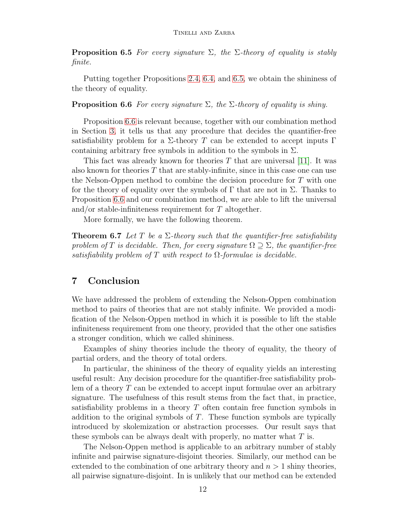**Proposition 6.5** For every signature  $\Sigma$ , the  $\Sigma$ -theory of equality is stably finite.

Putting together Propositions [2.4,](#page-4-2) [6.4,](#page-9-2) and [6.5,](#page-10-0) we obtain the shininess of the theory of equality.

<span id="page-11-1"></span>**Proposition 6.6** For every signature  $\Sigma$ , the  $\Sigma$ -theory of equality is shiny.

Proposition [6.6](#page-11-1) is relevant because, together with our combination method in Section [3,](#page-4-1) it tells us that any procedure that decides the quantifier-free satisfiability problem for a  $\Sigma$ -theory T can be extended to accept inputs  $\Gamma$ containing arbitrary free symbols in addition to the symbols in  $\Sigma$ .

This fact was already known for theories  $T$  that are universal [\[11\]](#page-13-1). It was also known for theories T that are stably-infinite, since in this case one can use the Nelson-Oppen method to combine the decision procedure for T with one for the theory of equality over the symbols of  $\Gamma$  that are not in  $\Sigma$ . Thanks to Proposition [6.6](#page-11-1) and our combination method, we are able to lift the universal and/or stable-infiniteness requirement for T altogether.

More formally, we have the following theorem.

**Theorem 6.7** Let T be a  $\Sigma$ -theory such that the quantifier-free satisfiability problem of T is decidable. Then, for every signature  $\Omega \supset \Sigma$ , the quantifier-free satisfiability problem of T with respect to  $\Omega$ -formulae is decidable.

## <span id="page-11-0"></span>7 Conclusion

We have addressed the problem of extending the Nelson-Oppen combination method to pairs of theories that are not stably infinite. We provided a modification of the Nelson-Oppen method in which it is possible to lift the stable infiniteness requirement from one theory, provided that the other one satisfies a stronger condition, which we called shininess.

Examples of shiny theories include the theory of equality, the theory of partial orders, and the theory of total orders.

In particular, the shininess of the theory of equality yields an interesting useful result: Any decision procedure for the quantifier-free satisfiability problem of a theory  $T$  can be extended to accept input formulae over an arbitrary signature. The usefulness of this result stems from the fact that, in practice, satisfiability problems in a theory T often contain free function symbols in addition to the original symbols of  $T$ . These function symbols are typically introduced by skolemization or abstraction processes. Our result says that these symbols can be always dealt with properly, no matter what  $T$  is.

The Nelson-Oppen method is applicable to an arbitrary number of stably infinite and pairwise signature-disjoint theories. Similarly, our method can be extended to the combination of one arbitrary theory and  $n > 1$  shiny theories, all pairwise signature-disjoint. In is unlikely that our method can be extended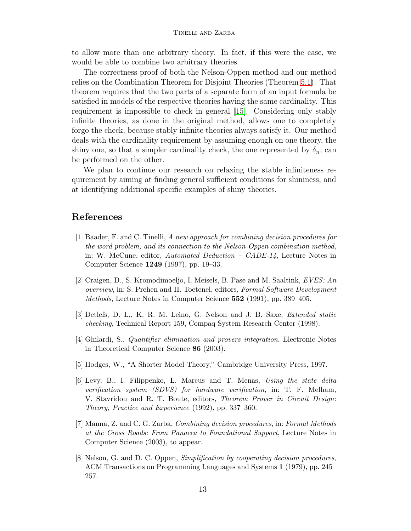to allow more than one arbitrary theory. In fact, if this were the case, we would be able to combine two arbitrary theories.

The correctness proof of both the Nelson-Oppen method and our method relies on the Combination Theorem for Disjoint Theories (Theorem [5.1\)](#page-7-1). That theorem requires that the two parts of a separate form of an input formula be satisfied in models of the respective theories having the same cardinality. This requirement is impossible to check in general [\[15\]](#page-13-3). Considering only stably infinite theories, as done in the original method, allows one to completely forgo the check, because stably infinite theories always satisfy it. Our method deals with the cardinality requirement by assuming enough on one theory, the shiny one, so that a simpler cardinality check, the one represented by  $\delta_n$ , can be performed on the other.

We plan to continue our research on relaxing the stable infiniteness requirement by aiming at finding general sufficient conditions for shininess, and at identifying additional specific examples of shiny theories.

## <span id="page-12-5"></span>References

- [1] Baader, F. and C. Tinelli, A new approach for combining decision procedures for the word problem, and its connection to the Nelson-Oppen combination method, in: W. McCune, editor, Automated Deduction – CADE-14, Lecture Notes in Computer Science 1249 (1997), pp. 19–33.
- <span id="page-12-2"></span>[2] Craigen, D., S. Kromodimoeljo, I. Meisels, B. Pase and M. Saaltink, EVES: An overview, in: S. Prehen and H. Toetenel, editors, Formal Software Development Methods, Lecture Notes in Computer Science 552 (1991), pp. 389–405.
- <span id="page-12-1"></span>[3] Detlefs, D. L., K. R. M. Leino, G. Nelson and J. B. Saxe, Extended static checking, Technical Report 159, Compaq System Research Center (1998).
- <span id="page-12-6"></span><span id="page-12-4"></span>[4] Ghilardi, S., Quantifier elimination and provers integration, Electronic Notes in Theoretical Computer Science 86 (2003).
- <span id="page-12-3"></span>[5] Hodges, W., "A Shorter Model Theory," Cambridge University Press, 1997.
- [6] Levy, B., I. Filippenko, L. Marcus and T. Menas, Using the state delta verification system (SDVS) for hardware verification, in: T. F. Melham, V. Stavridou and R. T. Boute, editors, Theorem Prover in Circuit Design: Theory, Practice and Experience (1992), pp. 337–360.
- <span id="page-12-7"></span>[7] Manna, Z. and C. G. Zarba, Combining decision procedures, in: Formal Methods at the Cross Roads: From Panacea to Foundational Support, Lecture Notes in Computer Science (2003), to appear.
- <span id="page-12-0"></span>[8] Nelson, G. and D. C. Oppen, *Simplification by cooperating decision procedures*, ACM Transactions on Programming Languages and Systems 1 (1979), pp. 245– 257.